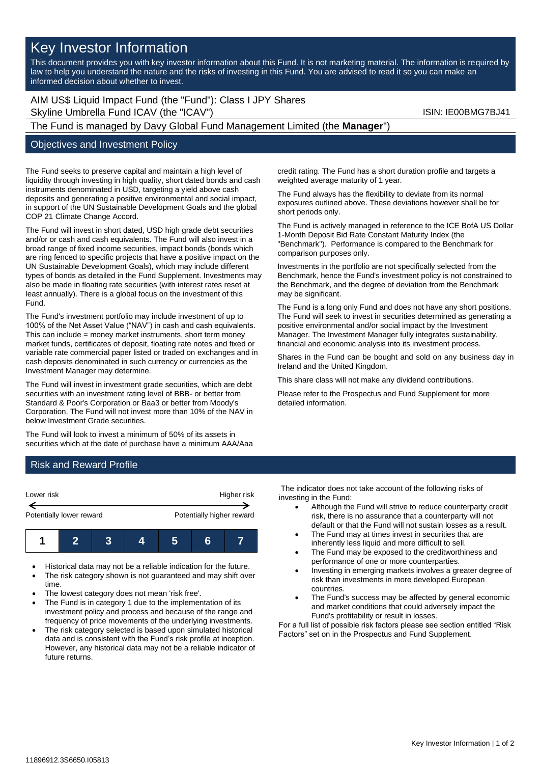## Key Investor Information

This document provides you with key investor information about this Fund. It is not marketing material. The information is required by law to help you understand the nature and the risks of investing in this Fund. You are advised to read it so you can make an informed decision about whether to invest.

AIM US\$ Liquid Impact Fund (the "Fund"): Class I JPY Shares Skyline Umbrella Fund ICAV (the "ICAV") Skyline Umbrella Fund ICAV (the "ICAV")

# The Fund is managed by Davy Global Fund Management Limited (the **Manager**")

#### Objectives and Investment Policy

The Fund seeks to preserve capital and maintain a high level of liquidity through investing in high quality, short dated bonds and cash instruments denominated in USD, targeting a yield above cash deposits and generating a positive environmental and social impact, in support of the UN Sustainable Development Goals and the global COP 21 Climate Change Accord.

The Fund will invest in short dated, USD high grade debt securities and/or or cash and cash equivalents. The Fund will also invest in a broad range of fixed income securities, impact bonds (bonds which are ring fenced to specific projects that have a positive impact on the UN Sustainable Development Goals), which may include different types of bonds as detailed in the Fund Supplement. Investments may also be made in floating rate securities (with interest rates reset at least annually). There is a global focus on the investment of this Fund.

The Fund's investment portfolio may include investment of up to 100% of the Net Asset Value ("NAV") in cash and cash equivalents. This can include = money market instruments, short term money market funds, certificates of deposit, floating rate notes and fixed or variable rate commercial paper listed or traded on exchanges and in cash deposits denominated in such currency or currencies as the Investment Manager may determine.

The Fund will invest in investment grade securities, which are debt securities with an investment rating level of BBB- or better from Standard & Poor's Corporation or Baa3 or better from Moody's Corporation. The Fund will not invest more than 10% of the NAV in below Investment Grade securities.

The Fund will look to invest a minimum of 50% of its assets in securities which at the date of purchase have a minimum AAA/Aaa credit rating. The Fund has a short duration profile and targets a weighted average maturity of 1 year.

The Fund always has the flexibility to deviate from its normal exposures outlined above. These deviations however shall be for short periods only.

The Fund is actively managed in reference to the ICE BofA US Dollar 1-Month Deposit Bid Rate Constant Maturity Index (the "Benchmark"). Performance is compared to the Benchmark for comparison purposes only.

Investments in the portfolio are not specifically selected from the Benchmark, hence the Fund's investment policy is not constrained to the Benchmark, and the degree of deviation from the Benchmark may be significant.

The Fund is a long only Fund and does not have any short positions. The Fund will seek to invest in securities determined as generating a positive environmental and/or social impact by the Investment Manager. The Investment Manager fully integrates sustainability, financial and economic analysis into its investment process.

Shares in the Fund can be bought and sold on any business day in Ireland and the United Kingdom.

This share class will not make any dividend contributions.

Please refer to the Prospectus and Fund Supplement for more detailed information.

#### Risk and Reward Profile

| Lower risk               |  |  | Higher risk |                           |   |  |
|--------------------------|--|--|-------------|---------------------------|---|--|
| Potentially lower reward |  |  |             | Potentially higher reward |   |  |
|                          |  |  |             |                           | R |  |

- Historical data may not be a reliable indication for the future.
- The risk category shown is not guaranteed and may shift over time.
- The lowest category does not mean 'risk free'.
- The Fund is in category 1 due to the implementation of its investment policy and process and because of the range and frequency of price movements of the underlying investments.
- The risk category selected is based upon simulated historical data and is consistent with the Fund's risk profile at inception. However, any historical data may not be a reliable indicator of future returns.

The indicator does not take account of the following risks of investing in the Fund:

- Although the Fund will strive to reduce counterparty credit risk, there is no assurance that a counterparty will not default or that the Fund will not sustain losses as a result.
- The Fund may at times invest in securities that are inherently less liquid and more difficult to sell.
- The Fund may be exposed to the creditworthiness and performance of one or more counterparties.
- Investing in emerging markets involves a greater degree of risk than investments in more developed European countries.
- The Fund's success may be affected by general economic and market conditions that could adversely impact the Fund's profitability or result in losses.

For a full list of possible risk factors please see section entitled "Risk Factors" set on in the Prospectus and Fund Supplement.